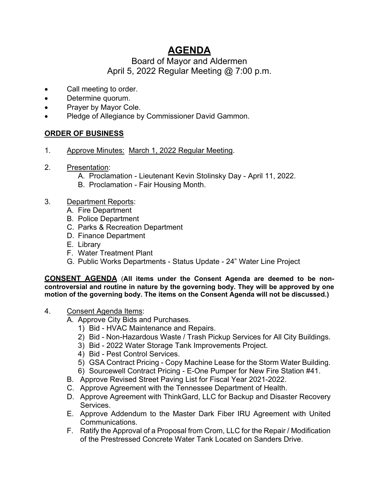# **AGENDA**

## Board of Mayor and Aldermen April 5, 2022 Regular Meeting @ 7:00 p.m.

- Call meeting to order.
- Determine quorum.
- Prayer by Mayor Cole.
- Pledge of Allegiance by Commissioner David Gammon.

### **ORDER OF BUSINESS**

- 1. Approve Minutes: March 1, 2022 Regular Meeting.
- 2. Presentation:
	- A. Proclamation Lieutenant Kevin Stolinsky Day April 11, 2022.
	- B. Proclamation Fair Housing Month.
- 3. Department Reports:
	- A. Fire Department
	- B. Police Department
	- C. Parks & Recreation Department
	- D. Finance Department
	- E. Library
	- F. Water Treatment Plant
	- G. Public Works Departments Status Update 24" Water Line Project

**CONSENT AGENDA** (**All items under the Consent Agenda are deemed to be noncontroversial and routine in nature by the governing body. They will be approved by one motion of the governing body. The items on the Consent Agenda will not be discussed.)**

- 4. Consent Agenda Items:
	- A. Approve City Bids and Purchases.
		- 1) Bid HVAC Maintenance and Repairs.
		- 2) Bid Non-Hazardous Waste / Trash Pickup Services for All City Buildings.
		- 3) Bid 2022 Water Storage Tank Improvements Project.
		- 4) Bid Pest Control Services.
		- 5) GSA Contract Pricing Copy Machine Lease for the Storm Water Building.
		- 6) Sourcewell Contract Pricing E-One Pumper for New Fire Station #41.
	- B. Approve Revised Street Paving List for Fiscal Year 2021-2022.
	- C. Approve Agreement with the Tennessee Department of Health.
	- D. Approve Agreement with ThinkGard, LLC for Backup and Disaster Recovery Services.
	- E. Approve Addendum to the Master Dark Fiber IRU Agreement with United Communications.
	- F. Ratify the Approval of a Proposal from Crom, LLC for the Repair / Modification of the Prestressed Concrete Water Tank Located on Sanders Drive.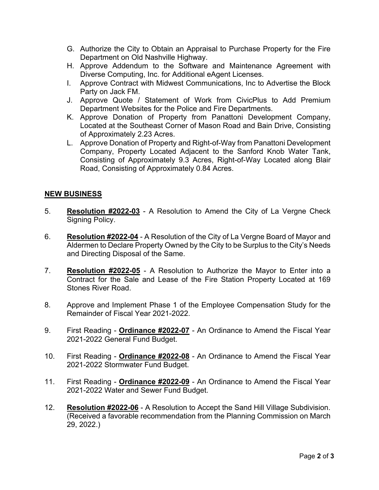- G. Authorize the City to Obtain an Appraisal to Purchase Property for the Fire Department on Old Nashville Highway.
- H. Approve Addendum to the Software and Maintenance Agreement with Diverse Computing, Inc. for Additional eAgent Licenses.
- I. Approve Contract with Midwest Communications, Inc to Advertise the Block Party on Jack FM.
- J. Approve Quote / Statement of Work from CivicPlus to Add Premium Department Websites for the Police and Fire Departments.
- K. Approve Donation of Property from Panattoni Development Company, Located at the Southeast Corner of Mason Road and Bain Drive, Consisting of Approximately 2.23 Acres.
- L. Approve Donation of Property and Right-of-Way from Panattoni Development Company, Property Located Adjacent to the Sanford Knob Water Tank, Consisting of Approximately 9.3 Acres, Right-of-Way Located along Blair Road, Consisting of Approximately 0.84 Acres.

#### **NEW BUSINESS**

- 5. **Resolution #2022-03** A Resolution to Amend the City of La Vergne Check Signing Policy.
- 6. **Resolution #2022-04** A Resolution of the City of La Vergne Board of Mayor and Aldermen to Declare Property Owned by the City to be Surplus to the City's Needs and Directing Disposal of the Same.
- 7. **Resolution #2022-05** A Resolution to Authorize the Mayor to Enter into a Contract for the Sale and Lease of the Fire Station Property Located at 169 Stones River Road.
- 8. Approve and Implement Phase 1 of the Employee Compensation Study for the Remainder of Fiscal Year 2021-2022.
- 9. First Reading **Ordinance #2022-07** An Ordinance to Amend the Fiscal Year 2021-2022 General Fund Budget.
- 10. First Reading **Ordinance #2022-08** An Ordinance to Amend the Fiscal Year 2021-2022 Stormwater Fund Budget.
- 11. First Reading **Ordinance #2022-09** An Ordinance to Amend the Fiscal Year 2021-2022 Water and Sewer Fund Budget.
- 12. **Resolution #2022-06** A Resolution to Accept the Sand Hill Village Subdivision. (Received a favorable recommendation from the Planning Commission on March 29, 2022.)